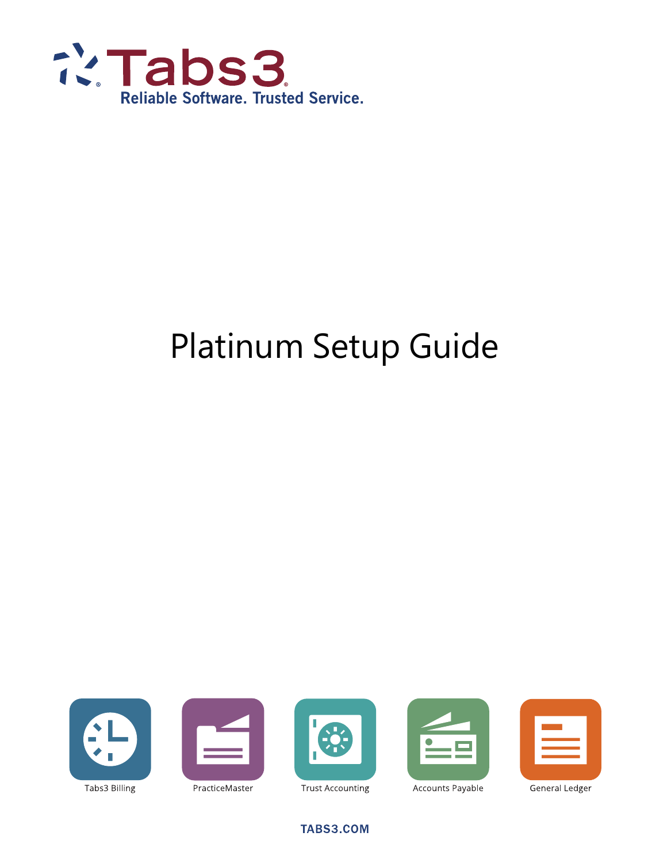

# Platinum Setup Guide











PracticeMaster

**Trust Accounting** 

Accounts Payable

General Ledger

TABS3.COM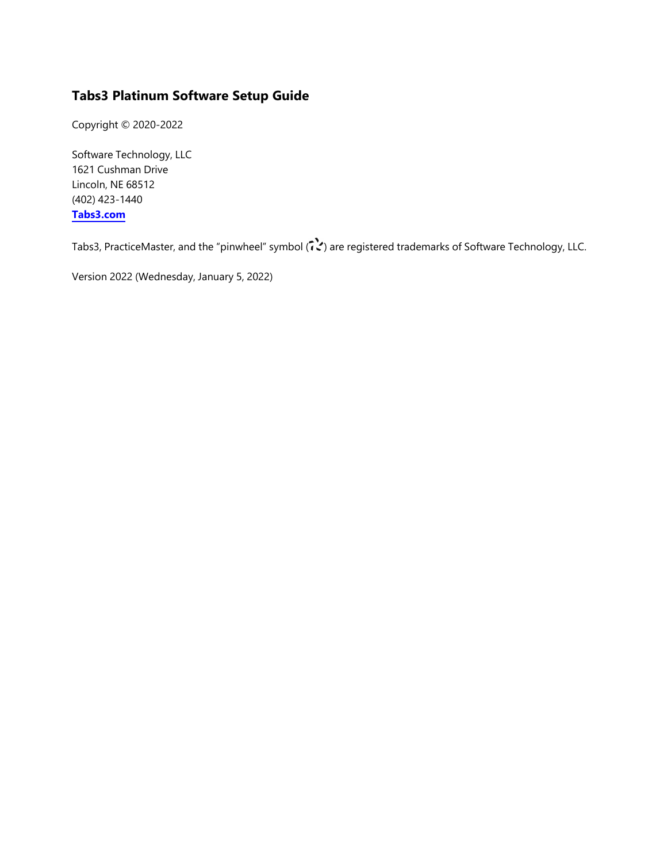#### **Tabs3 Platinum Software Setup Guide**

Copyright © 2020-2022

Software Technology, LLC 1621 Cushman Drive Lincoln, NE 68512 (402) 423-1440 **[Tabs3.com](http://tabs3.com/)**

Tabs3, PracticeMaster, and the "pinwheel" symbol ( ) are registered trademarks of Software Technology, LLC.

Version 2022 (Wednesday, January 5, 2022)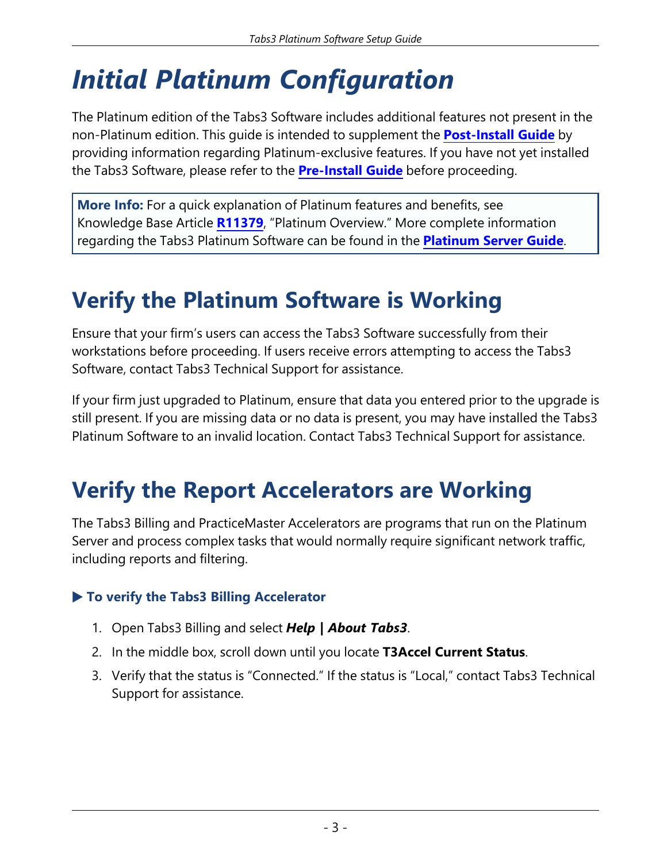# *Initial Platinum Configuration*

The Platinum edition of the Tabs3 Software includes additional features not present in the non-Platinum edition. This guide is intended to supplement the **[Post-Install](https://www.tabs3.com/support/manuals/postinstallguide.pdf) Guide** by providing information regarding Platinum-exclusive features. If you have not yet installed the Tabs3 Software, please refer to the **[Pre-Install](https://www.tabs3.com/support/manuals/PreInstallGuide.pdf) Guide** before proceeding.

**More Info:** For a quick explanation of Platinum features and benefits, see Knowledge Base Article **[R11379](https://support.tabs3.com/main/R11379.htm)**, "Platinum Overview." More complete information regarding the Tabs3 Platinum Software can be found in the **[Platinum](https://www.tabs3.com/support/manuals/stiserver.pdf) Server Guide**.

# **Verify the Platinum Software is Working**

Ensure that your firm's users can access the Tabs3 Software successfully from their workstations before proceeding. If users receive errors attempting to access the Tabs3 Software, contact Tabs3 Technical Support for assistance.

If your firm just upgraded to Platinum, ensure that data you entered prior to the upgrade is still present. If you are missing data or no data is present, you may have installed the Tabs3 Platinum Software to an invalid location. Contact Tabs3 Technical Support for assistance.

### **Verify the Report Accelerators are Working**

The Tabs3 Billing and PracticeMaster Accelerators are programs that run on the Platinum Server and process complex tasks that would normally require significant network traffic, including reports and filtering.

### ▶ **To verify the Tabs3 Billing Accelerator**

- 1. Open Tabs3 Billing and select *Help | About Tabs3*.
- 2. In the middle box, scroll down until you locate **T3Accel Current Status**.
- 3. Verify that the status is "Connected." If the status is "Local," contact Tabs3 Technical Support for assistance.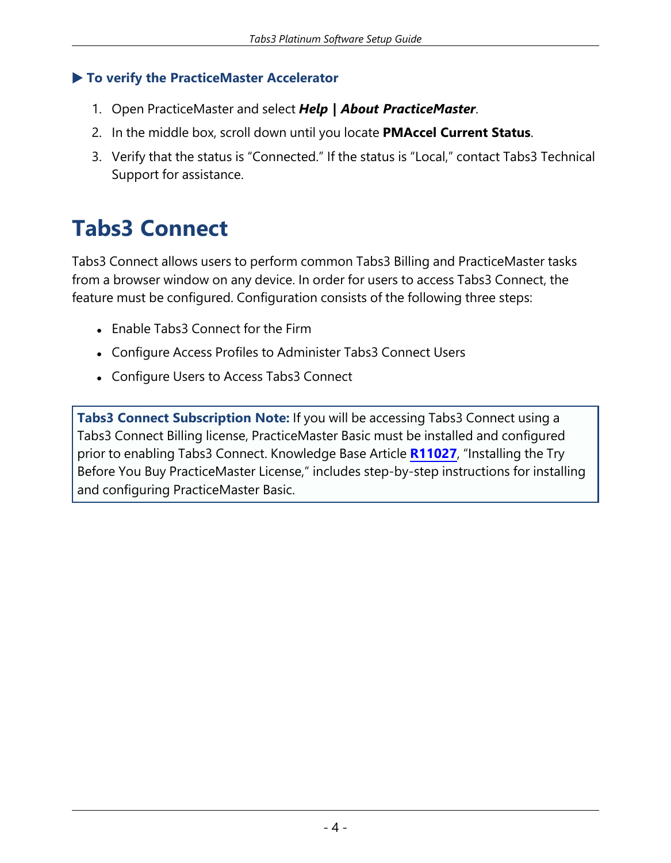#### ▶ **To verify the PracticeMaster Accelerator**

- 1. Open PracticeMaster and select *Help | About PracticeMaster*.
- 2. In the middle box, scroll down until you locate **PMAccel Current Status**.
- 3. Verify that the status is "Connected." If the status is "Local," contact Tabs3 Technical Support for assistance.

# **Tabs3 Connect**

Tabs3 Connect allows users to perform common Tabs3 Billing and PracticeMaster tasks from a browser window on any device. In order for users to access Tabs3 Connect, the feature must be configured. Configuration consists of the following three steps:

- Enable Tabs3 Connect for the Firm
- Configure Access Profiles to Administer Tabs3 Connect Users
- Configure Users to Access Tabs3 Connect

**Tabs3 Connect Subscription Note:** If you will be accessing Tabs3 Connect using a Tabs3 Connect Billing license, PracticeMaster Basic must be installed and configured prior to enabling Tabs3 Connect. Knowledge Base Article **[R11027](https://support.tabs3.com/main/R11027.htm)**, "Installing the Try Before You Buy PracticeMaster License," includes step-by-step instructions for installing and configuring PracticeMaster Basic.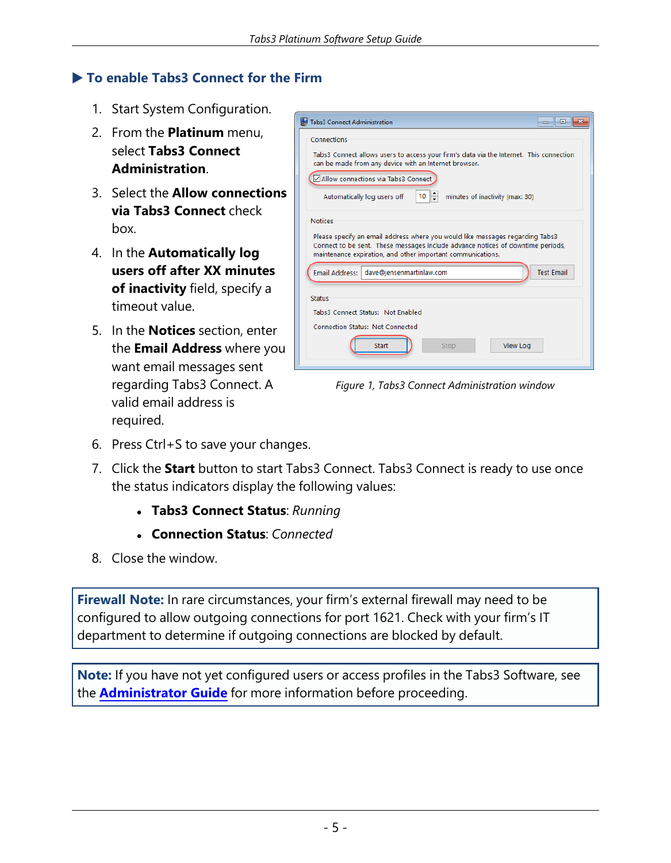#### ▶ **To enable Tabs3 Connect for the Firm**

- 1. Start System Configuration.
- 2. From the **Platinum** menu, select **Tabs3 Connect Administration**.
- 3. Select the **Allow connections via Tabs3 Connect** check box.
- 4. In the **Automatically log users off after XX minutes of inactivity** field, specify a timeout value.
- 5. In the **Notices** section, enter the **Email Address** where you want email messages sent regarding Tabs3 Connect. A valid email address is required.

| Tabs3 Connect Administration                                                                                                                                                                                                                      | $\sim$            |
|---------------------------------------------------------------------------------------------------------------------------------------------------------------------------------------------------------------------------------------------------|-------------------|
| Connections                                                                                                                                                                                                                                       |                   |
| Tabs3 Connect allows users to access your firm's data via the Internet. This connection<br>can be made from any device with an Internet browser.                                                                                                  |                   |
| Allow connections via Tabs3 Connect                                                                                                                                                                                                               |                   |
| Automatically log users off<br>10<br>minutes of inactivity (max: 30)                                                                                                                                                                              |                   |
| <b>Notices</b><br>Please specify an email address where you would like messages regarding Tabs3<br>Connect to be sent. These messages include advance notices of downtime periods,<br>maintenance expiration, and other important communications. |                   |
| dave@jensenmartinlaw.com<br>Email Address:                                                                                                                                                                                                        | <b>Test Email</b> |
| Status                                                                                                                                                                                                                                            |                   |
| Tabs3 Connect Status: Not Enabled                                                                                                                                                                                                                 |                   |
| Connection Status: Not Connected                                                                                                                                                                                                                  |                   |
| <b>View Log</b><br><b>Start</b><br>Stop                                                                                                                                                                                                           |                   |
|                                                                                                                                                                                                                                                   |                   |

*Figure 1, Tabs3 Connect Administration window*

- 6. Press Ctrl+S to save your changes.
- 7. Click the **Start** button to start Tabs3 Connect. Tabs3 Connect is ready to use once the status indicators display the following values:
	- <sup>l</sup> **Tabs3 Connect Status**: *Running*
	- <sup>l</sup> **Connection Status**: *Connected*
- 8. Close the window.

**Firewall Note:** In rare circumstances, your firm's external firewall may need to be configured to allow outgoing connections for port 1621. Check with your firm's IT department to determine if outgoing connections are blocked by default.

**Note:** If you have not yet configured users or access profiles in the Tabs3 Software, see the **[Administrator](https://www.tabs3.com/support/manuals/administratorguide.pdf) Guide** for more information before proceeding.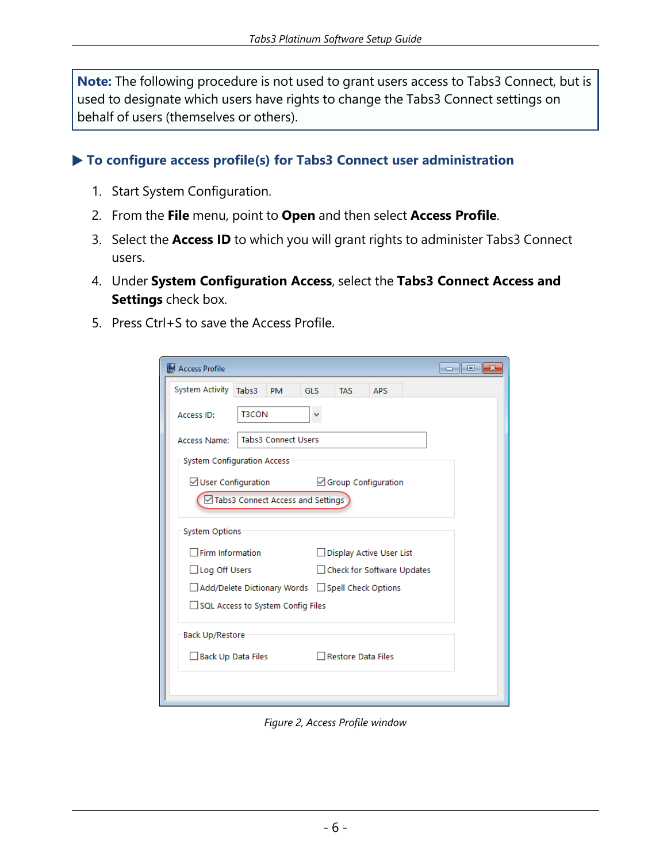**Note:** The following procedure is not used to grant users access to Tabs3 Connect, but is used to designate which users have rights to change the Tabs3 Connect settings on behalf of users (themselves or others).

▶ **To configure access profile(s) for Tabs3 Connect user administration**

- 1. Start System Configuration.
- 2. From the **File** menu, point to **Open** and then select **Access Profile**.
- 3. Select the **Access ID** to which you will grant rights to administer Tabs3 Connect users.
- 4. Under **System Configuration Access**, select the **Tabs3 Connect Access and Settings** check box.
- 5. Press Ctrl+S to save the Access Profile.

| Access Profile                                  |              |                                   |            |                            |            | ▣<br>$\mathbf x$<br>$\Box$ |
|-------------------------------------------------|--------------|-----------------------------------|------------|----------------------------|------------|----------------------------|
| <b>System Activity</b>                          | Tabs3        | <b>PM</b>                         | <b>GLS</b> | <b>TAS</b>                 | <b>APS</b> |                            |
| Access ID:                                      | <b>T3CON</b> |                                   |            |                            |            |                            |
| Access Name:                                    |              | <b>Tabs3 Connect Users</b>        |            |                            |            |                            |
| <b>System Configuration Access</b>              |              |                                   |            |                            |            |                            |
| $\vee$ User Configuration                       |              |                                   |            | Group Configuration        |            |                            |
|                                                 |              | Tabs3 Connect Access and Settings |            |                            |            |                            |
| <b>System Options</b>                           |              |                                   |            |                            |            |                            |
| $\exists$ Firm Information                      |              |                                   |            | Display Active User List   |            |                            |
| Log Off Users                                   |              |                                   |            | Check for Software Updates |            |                            |
| Add/Delete Dictionary Words Spell Check Options |              |                                   |            |                            |            |                            |
| SQL Access to System Config Files               |              |                                   |            |                            |            |                            |
| <b>Back Up/Restore</b>                          |              |                                   |            |                            |            |                            |
| Back Up Data Files                              |              |                                   |            | Restore Data Files         |            |                            |
|                                                 |              |                                   |            |                            |            |                            |
|                                                 |              |                                   |            |                            |            |                            |

*Figure 2, Access Profile window*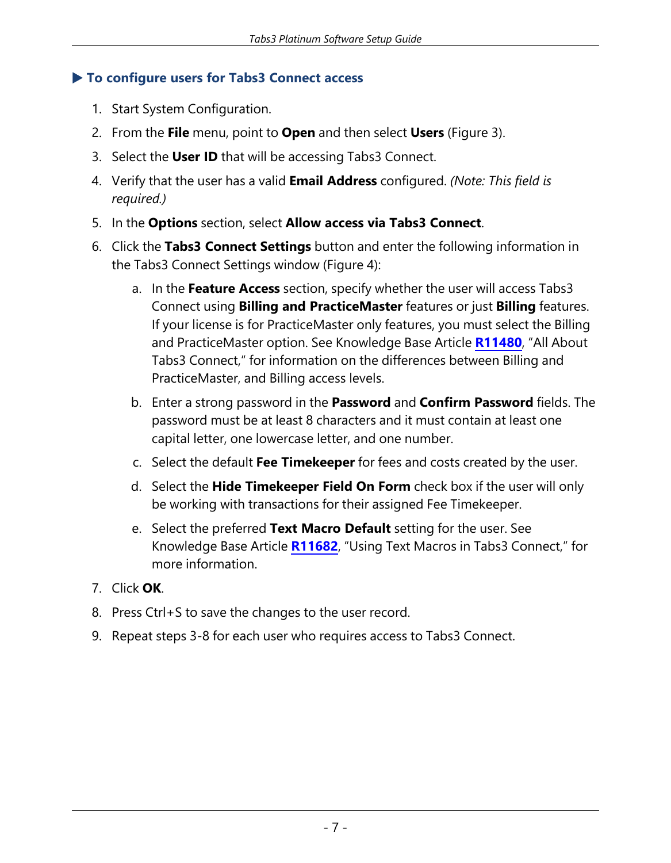#### ▶ **To configure users for Tabs3 Connect access**

- 1. Start System Configuration.
- 2. From the **File** menu, point to **Open** and then select **Users** [\(Figure](#page-7-0) 3).
- 3. Select the **User ID** that will be accessing Tabs3 Connect.
- 4. Verify that the user has a valid **Email Address** configured. *(Note: This field is required.)*
- 5. In the **Options** section, select **Allow access via Tabs3 Connect**.
- 6. Click the **Tabs3 Connect Settings** button and enter the following information in the Tabs3 Connect Settings window ([Figure](#page-7-1) 4):
	- a. In the **Feature Access** section, specify whether the user will access Tabs3 Connect using **Billing and PracticeMaster** features or just **Billing** features. If your license is for PracticeMaster only features, you must select the Billing and PracticeMaster option. See Knowledge Base Article **[R11480](https://support.tabs3.com/main/R11480.htm)**, "All About Tabs3 Connect," for information on the differences between Billing and PracticeMaster, and Billing access levels.
	- b. Enter a strong password in the **Password** and **Confirm Password** fields. The password must be at least 8 characters and it must contain at least one capital letter, one lowercase letter, and one number.
	- c. Select the default **Fee Timekeeper** for fees and costs created by the user.
	- d. Select the **Hide Timekeeper Field On Form** check box if the user will only be working with transactions for their assigned Fee Timekeeper.
	- e. Select the preferred **Text Macro Default** setting for the user. See Knowledge Base Article **[R11682](https://support.tabs3.com/main/R11682.htm)**, "Using Text Macros in Tabs3 Connect," for more information.
- 7. Click **OK**.
- 8. Press Ctrl+S to save the changes to the user record.
- 9. Repeat steps 3-8 for each user who requires access to Tabs3 Connect.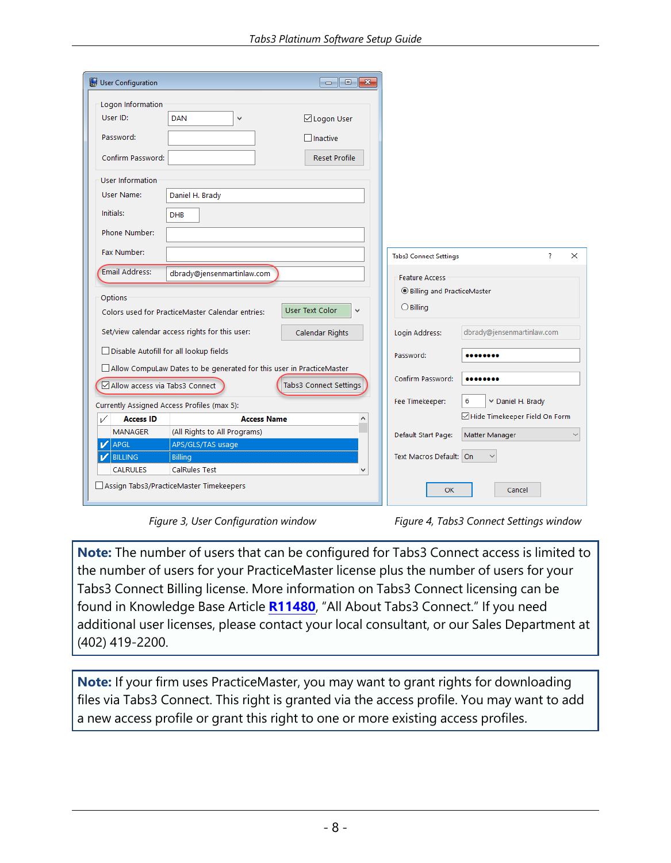| User Configuration                     |                                                                      |                        |              |                                    |                                 |
|----------------------------------------|----------------------------------------------------------------------|------------------------|--------------|------------------------------------|---------------------------------|
| Logon Information                      |                                                                      |                        |              |                                    |                                 |
| User ID:                               | <b>DAN</b><br>$\checkmark$                                           | ⊠ Logon User           |              |                                    |                                 |
| Password:                              |                                                                      | $\Box$ Inactive        |              |                                    |                                 |
| Confirm Password:                      |                                                                      | <b>Reset Profile</b>   |              |                                    |                                 |
| User Information                       |                                                                      |                        |              |                                    |                                 |
| User Name:                             | Daniel H. Brady                                                      |                        |              |                                    |                                 |
| Initials:                              | <b>DHB</b>                                                           |                        |              |                                    |                                 |
| Phone Number:                          |                                                                      |                        |              |                                    |                                 |
| Fax Number:                            |                                                                      |                        |              | <b>Tabs3 Connect Settings</b>      | 7<br>$\times$                   |
| Email Address:                         | dbrady@jensenmartinlaw.com                                           |                        |              | <b>Feature Access</b>              |                                 |
|                                        |                                                                      |                        |              | <b>OBilling and PracticeMaster</b> |                                 |
| Options                                | Colors used for PracticeMaster Calendar entries:                     | <b>User Text Color</b> | $\checkmark$ | $\bigcirc$ Billing                 |                                 |
|                                        | Set/view calendar access rights for this user:                       | <b>Calendar Rights</b> |              | Login Address:                     | dbrady@jensenmartinlaw.com      |
| Disable Autofill for all lookup fields |                                                                      |                        |              | Password:                          |                                 |
|                                        | Allow CompuLaw Dates to be generated for this user in PracticeMaster |                        |              |                                    |                                 |
| Allow access via Tabs3 Connect         |                                                                      | Tabs3 Connect Settings |              | Confirm Password:                  |                                 |
|                                        | Currently Assigned Access Profiles (max 5):                          |                        |              | Fee Timekeeper:                    | 6<br>Daniel H. Brady            |
| <b>Access ID</b><br>✓                  |                                                                      | <b>Access Name</b>     |              |                                    | □ Hide Timekeeper Field On Form |
| <b>MANAGER</b>                         | (All Rights to All Programs)                                         |                        |              | Default Start Page:                | Matter Manager                  |
| APGL<br>v                              | APS/GLS/TAS usage                                                    |                        |              |                                    |                                 |
| <b>BILLING</b><br>v                    | <b>Billing</b>                                                       |                        |              | Text Macros Default: On            |                                 |
| <b>CALRULES</b>                        | <b>CalRules Test</b>                                                 |                        | $\checkmark$ |                                    |                                 |
|                                        | Assign Tabs3/PracticeMaster Timekeepers                              |                        |              | OK                                 | Cancel                          |

<span id="page-7-1"></span>*Figure 3, User Configuration window Figure 4, Tabs3 Connect Settings window*

<span id="page-7-0"></span>**Note:** The number of users that can be configured for Tabs3 Connect access is limited to the number of users for your PracticeMaster license plus the number of users for your Tabs3 Connect Billing license. More information on Tabs3 Connect licensing can be found in Knowledge Base Article **[R11480](https://support.tabs3.com/main/R11480.htm)**, "All About Tabs3 Connect." If you need additional user licenses, please contact your local consultant, or our Sales Department at (402) 419-2200.

**Note:** If your firm uses PracticeMaster, you may want to grant rights for downloading files via Tabs3 Connect. This right is granted via the access profile. You may want to add a new access profile or grant this right to one or more existing access profiles.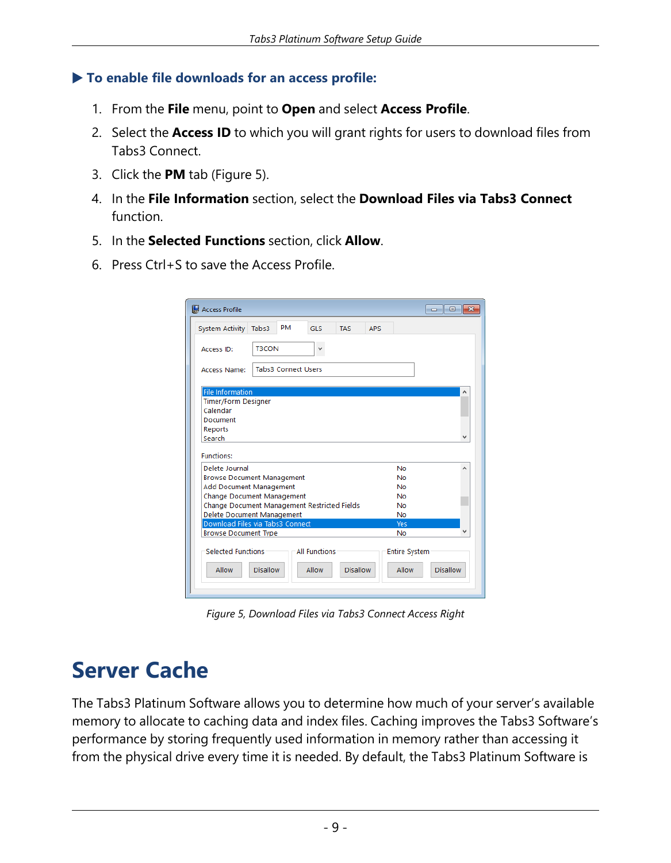#### ▶ **To enable file downloads for an access profile:**

- 1. From the **File** menu, point to **Open** and select **Access Profile**.
- 2. Select the **Access ID** to which you will grant rights for users to download files from Tabs3 Connect.
- 3. Click the **PM** tab ([Figure](#page-8-0) 5).
- 4. In the **File Information** section, select the **Download Files via Tabs3 Connect** function.
- 5. In the **Selected Functions** section, click **Allow**.
- 6. Press Ctrl+S to save the Access Profile.

| Access Profile                      |                                                                       |                      |                 |            |                      | -- 0     | $\mathbf{x}$ |
|-------------------------------------|-----------------------------------------------------------------------|----------------------|-----------------|------------|----------------------|----------|--------------|
| System Activity Tabs3               | <b>PM</b>                                                             | <b>GLS</b>           | <b>TAS</b>      | <b>APS</b> |                      |          |              |
| Access ID:                          | <b>T3CON</b>                                                          | v                    |                 |            |                      |          |              |
| <b>Access Name:</b>                 | <b>Tabs3 Connect Users</b>                                            |                      |                 |            |                      |          |              |
| <b>File Information</b>             |                                                                       |                      |                 |            |                      |          | A            |
| <b>Timer/Form Designer</b>          |                                                                       |                      |                 |            |                      |          |              |
| Calendar                            |                                                                       |                      |                 |            |                      |          |              |
| Document                            |                                                                       |                      |                 |            |                      |          |              |
| <b>Reports</b><br>Search            |                                                                       |                      |                 |            |                      |          |              |
| <b>Functions:</b><br>Delete Journal |                                                                       |                      |                 |            | <b>No</b>            |          | ^            |
|                                     | <b>Browse Document Management</b>                                     |                      |                 |            | <b>No</b>            |          |              |
| <b>Add Document Management</b>      |                                                                       |                      |                 |            | No                   |          |              |
|                                     | <b>Change Document Management</b>                                     |                      |                 |            | No                   |          |              |
|                                     | Change Document Management Restricted Fields                          |                      |                 |            | <b>No</b>            |          |              |
|                                     | <b>Delete Document Management</b><br>Download Files via Tabs3 Connect |                      |                 |            | <b>No</b><br>Yes     |          |              |
| <b>Browse Document Type</b>         |                                                                       |                      |                 |            | No                   |          |              |
|                                     |                                                                       |                      |                 |            |                      |          |              |
| <b>Selected Functions</b>           |                                                                       | <b>All Functions</b> |                 |            | <b>Entire System</b> |          |              |
| <b>Allow</b>                        | <b>Disallow</b>                                                       | Allow                | <b>Disallow</b> |            | <b>Allow</b>         | Disallow |              |
|                                     |                                                                       |                      |                 |            |                      |          |              |

<span id="page-8-0"></span>*Figure 5, Download Files via Tabs3 Connect Access Right*

### **Server Cache**

The Tabs3 Platinum Software allows you to determine how much of your server's available memory to allocate to caching data and index files. Caching improves the Tabs3 Software's performance by storing frequently used information in memory rather than accessing it from the physical drive every time it is needed. By default, the Tabs3 Platinum Software is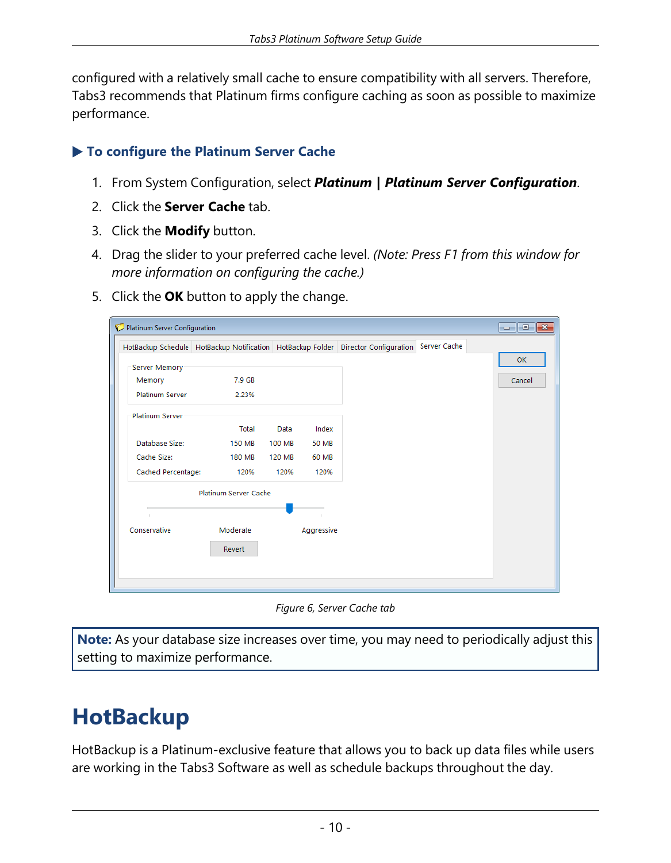configured with a relatively small cache to ensure compatibility with all servers. Therefore, Tabs3 recommends that Platinum firms configure caching as soon as possible to maximize performance.

### ▶ **To configure the Platinum Server Cache**

- 1. From System Configuration, select *Platinum | Platinum Server Configuration*.
- 2. Click the **Server Cache** tab.
- 3. Click the **Modify** button.
- 4. Drag the slider to your preferred cache level. *(Note: Press F1 from this window for more information on configuring the cache.)*
- 5. Click the **OK** button to apply the change.

|                        |                       |        |              | HotBackup Schedule HotBackup Notification HotBackup Folder Director Configuration | Server Cache |        |
|------------------------|-----------------------|--------|--------------|-----------------------------------------------------------------------------------|--------------|--------|
| Server Memory          |                       |        |              |                                                                                   |              | OK     |
| Memory                 | 7.9 GB                |        |              |                                                                                   |              | Cancel |
| <b>Platinum Server</b> | 2.23%                 |        |              |                                                                                   |              |        |
| <b>Platinum Server</b> |                       |        |              |                                                                                   |              |        |
|                        | Total                 | Data   | Index        |                                                                                   |              |        |
| Database Size:         | <b>150 MB</b>         | 100 MB | <b>50 MB</b> |                                                                                   |              |        |
| Cache Size:            | <b>180 MB</b>         | 120 MB | 60 MB        |                                                                                   |              |        |
| Cached Percentage:     | 120%                  | 120%   | 120%         |                                                                                   |              |        |
|                        | Platinum Server Cache |        |              |                                                                                   |              |        |
|                        |                       |        |              |                                                                                   |              |        |
| Conservative           | Moderate              |        | Aggressive   |                                                                                   |              |        |
|                        | Revert                |        |              |                                                                                   |              |        |
|                        |                       |        |              |                                                                                   |              |        |

*Figure 6, Server Cache tab*

**Note:** As your database size increases over time, you may need to periodically adjust this setting to maximize performance.

### **HotBackup**

HotBackup is a Platinum-exclusive feature that allows you to back up data files while users are working in the Tabs3 Software as well as schedule backups throughout the day.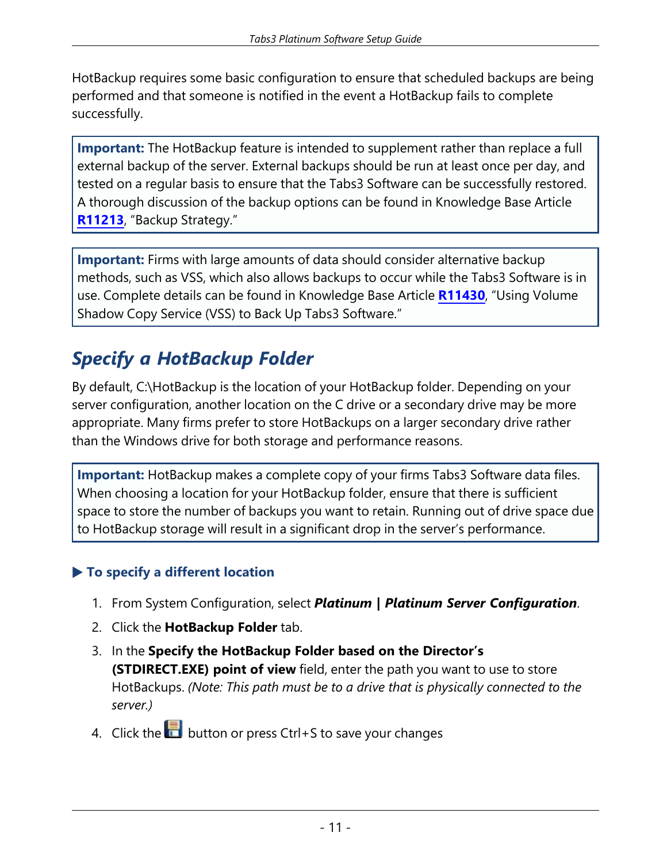HotBackup requires some basic configuration to ensure that scheduled backups are being performed and that someone is notified in the event a HotBackup fails to complete successfully.

**Important:** The HotBackup feature is intended to supplement rather than replace a full external backup of the server. External backups should be run at least once per day, and tested on a regular basis to ensure that the Tabs3 Software can be successfully restored. A thorough discussion of the backup options can be found in Knowledge Base Article **[R11213](https://support.tabs3.com/main/R11213.htm)**, "Backup Strategy."

**Important:** Firms with large amounts of data should consider alternative backup methods, such as VSS, which also allows backups to occur while the Tabs3 Software is in use. Complete details can be found in Knowledge Base Article **[R11430](https://support.tabs3.com/main/R11430.htm)**, "Using Volume Shadow Copy Service (VSS) to Back Up Tabs3 Software."

### *Specify a HotBackup Folder*

By default, C:\HotBackup is the location of your HotBackup folder. Depending on your server configuration, another location on the C drive or a secondary drive may be more appropriate. Many firms prefer to store HotBackups on a larger secondary drive rather than the Windows drive for both storage and performance reasons.

**Important:** HotBackup makes a complete copy of your firms Tabs3 Software data files. When choosing a location for your HotBackup folder, ensure that there is sufficient space to store the number of backups you want to retain. Running out of drive space due to HotBackup storage will result in a significant drop in the server's performance.

### ▶ **To specify a different location**

- 1. From System Configuration, select *Platinum | Platinum Server Configuration*.
- 2. Click the **HotBackup Folder** tab.
- 3. In the **Specify the HotBackup Folder based on the Director's (STDIRECT.EXE) point of view** field, enter the path you want to use to store HotBackups. *(Note: This path must be to a drive that is physically connected to the server.)*
- 4. Click the **button or press Ctrl+S** to save your changes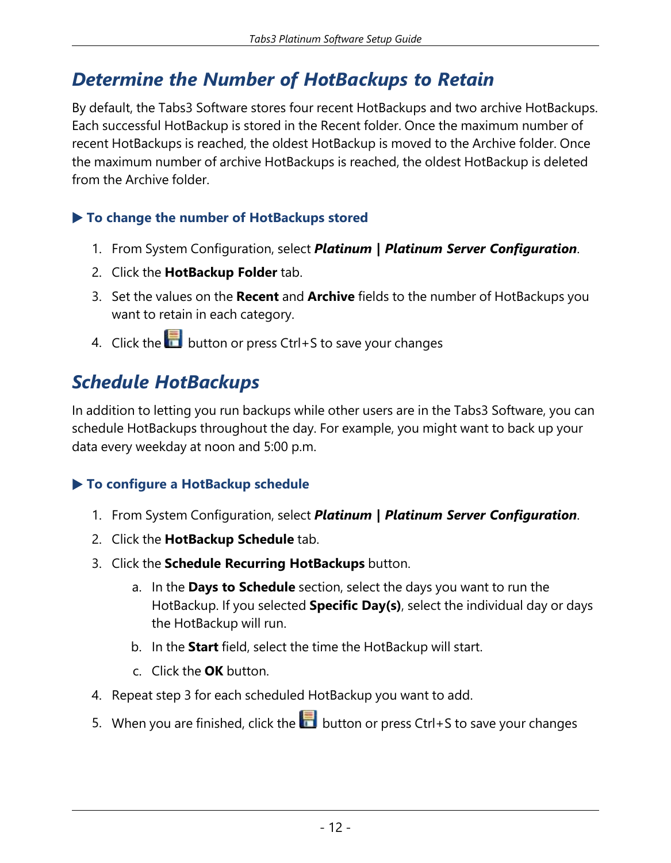### *Determine the Number of HotBackups to Retain*

By default, the Tabs3 Software stores four recent HotBackups and two archive HotBackups. Each successful HotBackup is stored in the Recent folder. Once the maximum number of recent HotBackups is reached, the oldest HotBackup is moved to the Archive folder. Once the maximum number of archive HotBackups is reached, the oldest HotBackup is deleted from the Archive folder.

#### ▶ **To change the number of HotBackups stored**

- 1. From System Configuration, select *Platinum | Platinum Server Configuration*.
- 2. Click the **HotBackup Folder** tab.
- 3. Set the values on the **Recent** and **Archive** fields to the number of HotBackups you want to retain in each category.
- 4. Click the **button or press Ctrl+S** to save your changes

### *Schedule HotBackups*

In addition to letting you run backups while other users are in the Tabs3 Software, you can schedule HotBackups throughout the day. For example, you might want to back up your data every weekday at noon and 5:00 p.m.

### ▶ **To configure a HotBackup schedule**

- 1. From System Configuration, select *Platinum | Platinum Server Configuration*.
- 2. Click the **HotBackup Schedule** tab.
- 3. Click the **Schedule Recurring HotBackups** button.
	- a. In the **Days to Schedule** section, select the days you want to run the HotBackup. If you selected **Specific Day(s)**, select the individual day or days the HotBackup will run.
	- b. In the **Start** field, select the time the HotBackup will start.
	- c. Click the **OK** button.
- 4. Repeat step 3 for each scheduled HotBackup you want to add.
- 5. When you are finished, click the **button or press Ctrl+S** to save your changes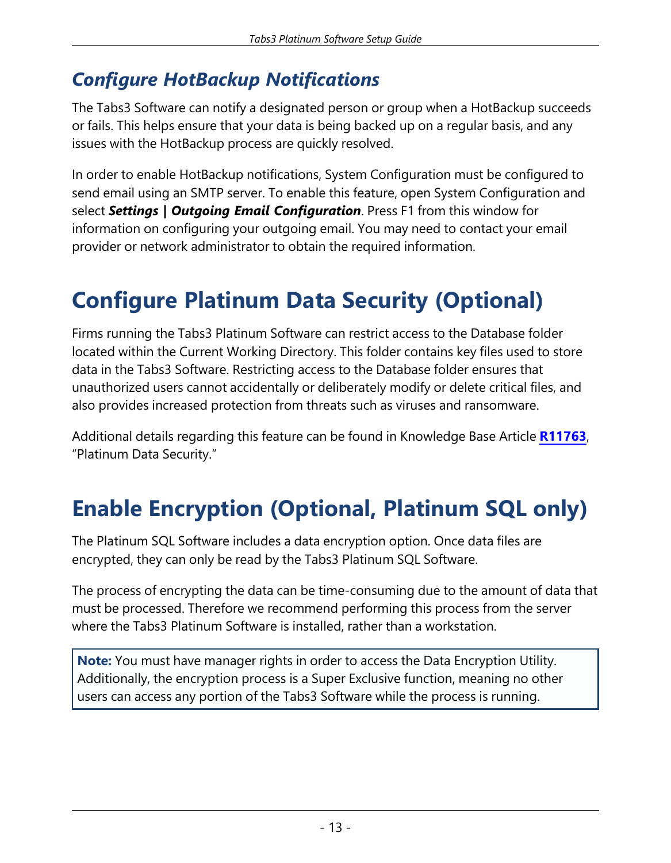### *Configure HotBackup Notifications*

The Tabs3 Software can notify a designated person or group when a HotBackup succeeds or fails. This helps ensure that your data is being backed up on a regular basis, and any issues with the HotBackup process are quickly resolved.

In order to enable HotBackup notifications, System Configuration must be configured to send email using an SMTP server. To enable this feature, open System Configuration and select *Settings | Outgoing Email Configuration*. Press F1 from this window for information on configuring your outgoing email. You may need to contact your email provider or network administrator to obtain the required information.

# **Configure Platinum Data Security (Optional)**

Firms running the Tabs3 Platinum Software can restrict access to the Database folder located within the Current Working Directory. This folder contains key files used to store data in the Tabs3 Software. Restricting access to the Database folder ensures that unauthorized users cannot accidentally or deliberately modify or delete critical files, and also provides increased protection from threats such as viruses and ransomware.

Additional details regarding this feature can be found in Knowledge Base Article **[R11763](https://support.tabs3.com/main/R11763.htm)**, "Platinum Data Security."

# **Enable Encryption (Optional, Platinum SQL only)**

The Platinum SQL Software includes a data encryption option. Once data files are encrypted, they can only be read by the Tabs3 Platinum SQL Software.

The process of encrypting the data can be time-consuming due to the amount of data that must be processed. Therefore we recommend performing this process from the server where the Tabs3 Platinum Software is installed, rather than a workstation.

**Note:** You must have manager rights in order to access the Data Encryption Utility. Additionally, the encryption process is a Super Exclusive function, meaning no other users can access any portion of the Tabs3 Software while the process is running.